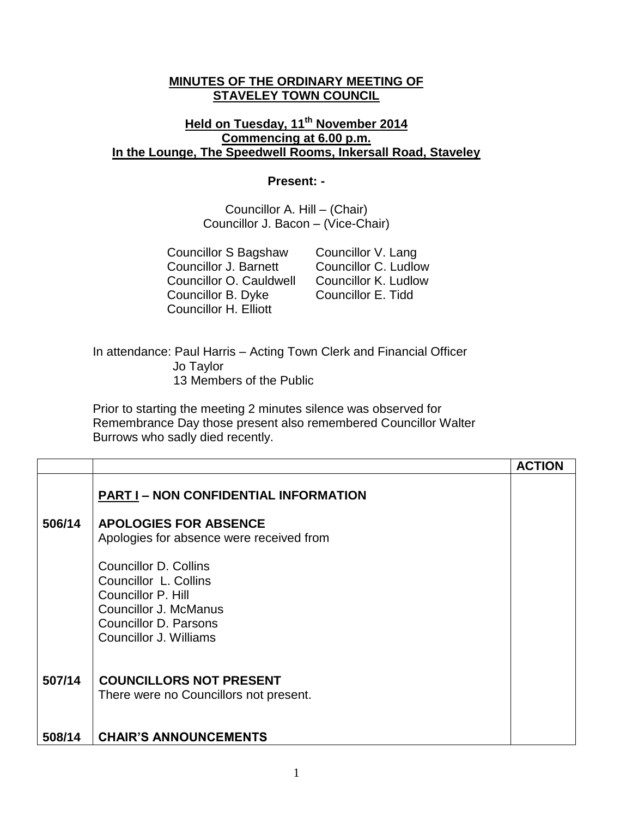## **MINUTES OF THE ORDINARY MEETING OF STAVELEY TOWN COUNCIL**

## **Held on Tuesday, 11th November 2014 Commencing at 6.00 p.m. In the Lounge, The Speedwell Rooms, Inkersall Road, Staveley**

## **Present: -**

Councillor A. Hill – (Chair) Councillor J. Bacon – (Vice-Chair)

Councillor S Bagshaw Councillor V. Lang Councillor J. Barnett Councillor C. Ludlow<br>Councillor O. Cauldwell Councillor K. Ludlow Councillor O. Cauldwell Councillor B. Dyke Councillor E. Tidd Councillor H. Elliott

In attendance: Paul Harris – Acting Town Clerk and Financial Officer Jo Taylor 13 Members of the Public

Prior to starting the meeting 2 minutes silence was observed for Remembrance Day those present also remembered Councillor Walter Burrows who sadly died recently.

|        |                                                                                                                                                         | <b>ACTION</b> |
|--------|---------------------------------------------------------------------------------------------------------------------------------------------------------|---------------|
|        | <b>PART I - NON CONFIDENTIAL INFORMATION</b>                                                                                                            |               |
| 506/14 | <b>APOLOGIES FOR ABSENCE</b><br>Apologies for absence were received from                                                                                |               |
|        | Councillor D. Collins<br>Councillor L. Collins<br>Councillor P. Hill<br><b>Councillor J. McManus</b><br>Councillor D. Parsons<br>Councillor J. Williams |               |
| 507/14 | <b>COUNCILLORS NOT PRESENT</b><br>There were no Councillors not present.                                                                                |               |
| 508/14 | <b>CHAIR'S ANNOUNCEMENTS</b>                                                                                                                            |               |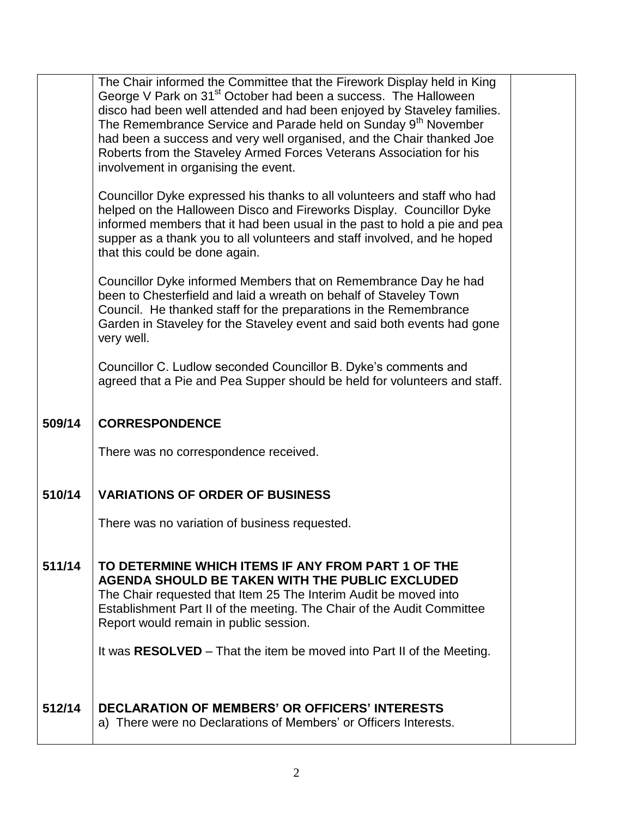| The Chair informed the Committee that the Firework Display held in King<br>George V Park on 31 <sup>st</sup> October had been a success. The Halloween<br>disco had been well attended and had been enjoyed by Staveley families.<br>The Remembrance Service and Parade held on Sunday 9 <sup>th</sup> November<br>had been a success and very well organised, and the Chair thanked Joe<br>Roberts from the Staveley Armed Forces Veterans Association for his<br>involvement in organising the event. |
|---------------------------------------------------------------------------------------------------------------------------------------------------------------------------------------------------------------------------------------------------------------------------------------------------------------------------------------------------------------------------------------------------------------------------------------------------------------------------------------------------------|
| Councillor Dyke expressed his thanks to all volunteers and staff who had<br>helped on the Halloween Disco and Fireworks Display. Councillor Dyke<br>informed members that it had been usual in the past to hold a pie and pea<br>supper as a thank you to all volunteers and staff involved, and he hoped<br>that this could be done again.                                                                                                                                                             |
| Councillor Dyke informed Members that on Remembrance Day he had<br>been to Chesterfield and laid a wreath on behalf of Staveley Town<br>Council. He thanked staff for the preparations in the Remembrance<br>Garden in Staveley for the Staveley event and said both events had gone<br>very well.                                                                                                                                                                                                      |
| Councillor C. Ludlow seconded Councillor B. Dyke's comments and<br>agreed that a Pie and Pea Supper should be held for volunteers and staff.                                                                                                                                                                                                                                                                                                                                                            |
| <b>CORRESPONDENCE</b>                                                                                                                                                                                                                                                                                                                                                                                                                                                                                   |
| There was no correspondence received.                                                                                                                                                                                                                                                                                                                                                                                                                                                                   |
| <b>VARIATIONS OF ORDER OF BUSINESS</b>                                                                                                                                                                                                                                                                                                                                                                                                                                                                  |
| There was no variation of business requested.                                                                                                                                                                                                                                                                                                                                                                                                                                                           |
| TO DETERMINE WHICH ITEMS IF ANY FROM PART 1 OF THE<br><b>AGENDA SHOULD BE TAKEN WITH THE PUBLIC EXCLUDED</b><br>The Chair requested that Item 25 The Interim Audit be moved into<br>Establishment Part II of the meeting. The Chair of the Audit Committee<br>Report would remain in public session.                                                                                                                                                                                                    |
|                                                                                                                                                                                                                                                                                                                                                                                                                                                                                                         |
| It was RESOLVED – That the item be moved into Part II of the Meeting.                                                                                                                                                                                                                                                                                                                                                                                                                                   |
|                                                                                                                                                                                                                                                                                                                                                                                                                                                                                                         |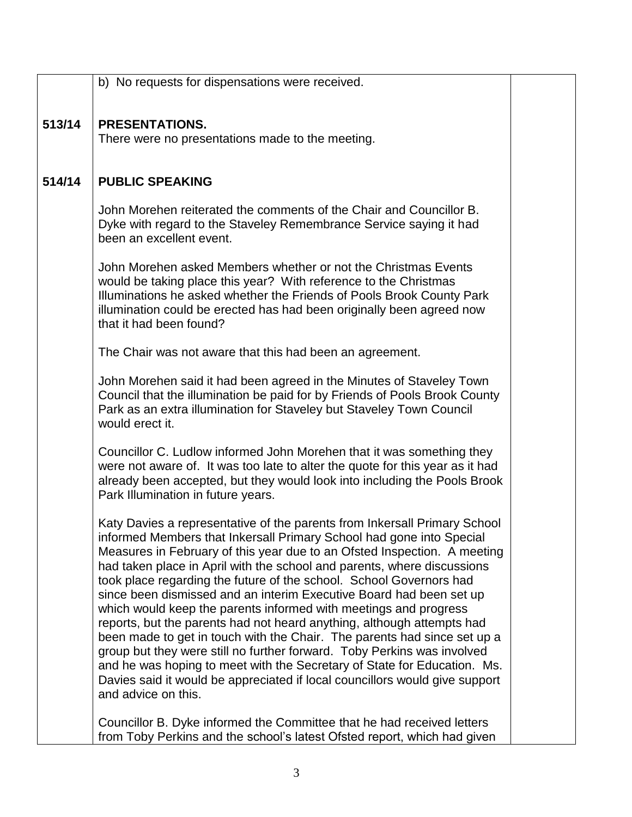|        | b) No requests for dispensations were received.                                                                                                                                                                                                                                                                                                                                                                                                                                                                                                                                                                                                                                                                                                                                                                                                                                                                                               |  |
|--------|-----------------------------------------------------------------------------------------------------------------------------------------------------------------------------------------------------------------------------------------------------------------------------------------------------------------------------------------------------------------------------------------------------------------------------------------------------------------------------------------------------------------------------------------------------------------------------------------------------------------------------------------------------------------------------------------------------------------------------------------------------------------------------------------------------------------------------------------------------------------------------------------------------------------------------------------------|--|
|        |                                                                                                                                                                                                                                                                                                                                                                                                                                                                                                                                                                                                                                                                                                                                                                                                                                                                                                                                               |  |
| 513/14 | <b>PRESENTATIONS.</b><br>There were no presentations made to the meeting.                                                                                                                                                                                                                                                                                                                                                                                                                                                                                                                                                                                                                                                                                                                                                                                                                                                                     |  |
|        |                                                                                                                                                                                                                                                                                                                                                                                                                                                                                                                                                                                                                                                                                                                                                                                                                                                                                                                                               |  |
| 514/14 | <b>PUBLIC SPEAKING</b>                                                                                                                                                                                                                                                                                                                                                                                                                                                                                                                                                                                                                                                                                                                                                                                                                                                                                                                        |  |
|        | John Morehen reiterated the comments of the Chair and Councillor B.<br>Dyke with regard to the Staveley Remembrance Service saying it had<br>been an excellent event.                                                                                                                                                                                                                                                                                                                                                                                                                                                                                                                                                                                                                                                                                                                                                                         |  |
|        | John Morehen asked Members whether or not the Christmas Events<br>would be taking place this year? With reference to the Christmas<br>Illuminations he asked whether the Friends of Pools Brook County Park<br>illumination could be erected has had been originally been agreed now<br>that it had been found?                                                                                                                                                                                                                                                                                                                                                                                                                                                                                                                                                                                                                               |  |
|        | The Chair was not aware that this had been an agreement.                                                                                                                                                                                                                                                                                                                                                                                                                                                                                                                                                                                                                                                                                                                                                                                                                                                                                      |  |
|        | John Morehen said it had been agreed in the Minutes of Staveley Town<br>Council that the illumination be paid for by Friends of Pools Brook County<br>Park as an extra illumination for Staveley but Staveley Town Council<br>would erect it.                                                                                                                                                                                                                                                                                                                                                                                                                                                                                                                                                                                                                                                                                                 |  |
|        | Councillor C. Ludlow informed John Morehen that it was something they<br>were not aware of. It was too late to alter the quote for this year as it had<br>already been accepted, but they would look into including the Pools Brook<br>Park Illumination in future years.                                                                                                                                                                                                                                                                                                                                                                                                                                                                                                                                                                                                                                                                     |  |
|        | Katy Davies a representative of the parents from Inkersall Primary School<br>informed Members that Inkersall Primary School had gone into Special<br>Measures in February of this year due to an Ofsted Inspection. A meeting<br>had taken place in April with the school and parents, where discussions<br>took place regarding the future of the school. School Governors had<br>since been dismissed and an interim Executive Board had been set up<br>which would keep the parents informed with meetings and progress<br>reports, but the parents had not heard anything, although attempts had<br>been made to get in touch with the Chair. The parents had since set up a<br>group but they were still no further forward. Toby Perkins was involved<br>and he was hoping to meet with the Secretary of State for Education. Ms.<br>Davies said it would be appreciated if local councillors would give support<br>and advice on this. |  |
|        | Councillor B. Dyke informed the Committee that he had received letters<br>from Toby Perkins and the school's latest Ofsted report, which had given                                                                                                                                                                                                                                                                                                                                                                                                                                                                                                                                                                                                                                                                                                                                                                                            |  |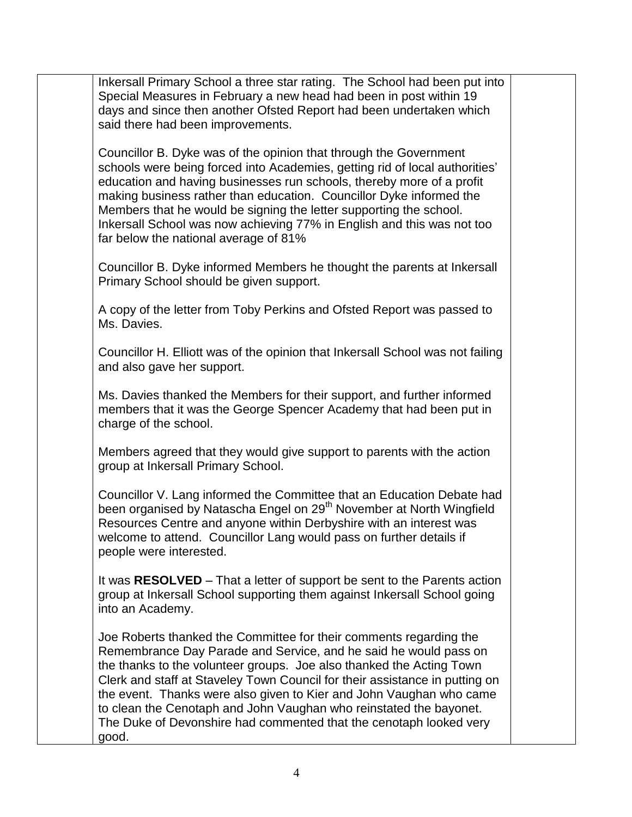Inkersall Primary School a three star rating. The School had been put into Special Measures in February a new head had been in post within 19 days and since then another Ofsted Report had been undertaken which said there had been improvements.

Councillor B. Dyke was of the opinion that through the Government schools were being forced into Academies, getting rid of local authorities' education and having businesses run schools, thereby more of a profit making business rather than education. Councillor Dyke informed the Members that he would be signing the letter supporting the school. Inkersall School was now achieving 77% in English and this was not too far below the national average of 81%

Councillor B. Dyke informed Members he thought the parents at Inkersall Primary School should be given support.

A copy of the letter from Toby Perkins and Ofsted Report was passed to Ms. Davies.

Councillor H. Elliott was of the opinion that Inkersall School was not failing and also gave her support.

Ms. Davies thanked the Members for their support, and further informed members that it was the George Spencer Academy that had been put in charge of the school.

Members agreed that they would give support to parents with the action group at Inkersall Primary School.

Councillor V. Lang informed the Committee that an Education Debate had been organised by Natascha Engel on 29<sup>th</sup> November at North Wingfield Resources Centre and anyone within Derbyshire with an interest was welcome to attend. Councillor Lang would pass on further details if people were interested.

It was **RESOLVED** – That a letter of support be sent to the Parents action group at Inkersall School supporting them against Inkersall School going into an Academy.

Joe Roberts thanked the Committee for their comments regarding the Remembrance Day Parade and Service, and he said he would pass on the thanks to the volunteer groups. Joe also thanked the Acting Town Clerk and staff at Staveley Town Council for their assistance in putting on the event. Thanks were also given to Kier and John Vaughan who came to clean the Cenotaph and John Vaughan who reinstated the bayonet. The Duke of Devonshire had commented that the cenotaph looked very good.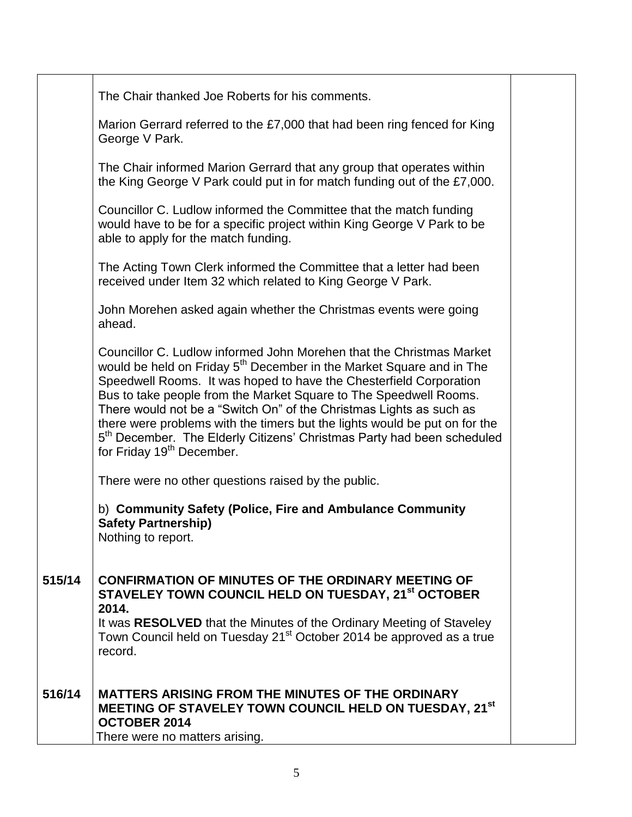|        | The Chair thanked Joe Roberts for his comments.                                                                                                                                                                                                                                                                                                                                                                                                                                                                                                                                         |
|--------|-----------------------------------------------------------------------------------------------------------------------------------------------------------------------------------------------------------------------------------------------------------------------------------------------------------------------------------------------------------------------------------------------------------------------------------------------------------------------------------------------------------------------------------------------------------------------------------------|
|        | Marion Gerrard referred to the £7,000 that had been ring fenced for King<br>George V Park.                                                                                                                                                                                                                                                                                                                                                                                                                                                                                              |
|        | The Chair informed Marion Gerrard that any group that operates within<br>the King George V Park could put in for match funding out of the £7,000.                                                                                                                                                                                                                                                                                                                                                                                                                                       |
|        | Councillor C. Ludlow informed the Committee that the match funding<br>would have to be for a specific project within King George V Park to be<br>able to apply for the match funding.                                                                                                                                                                                                                                                                                                                                                                                                   |
|        | The Acting Town Clerk informed the Committee that a letter had been<br>received under Item 32 which related to King George V Park.                                                                                                                                                                                                                                                                                                                                                                                                                                                      |
|        | John Morehen asked again whether the Christmas events were going<br>ahead.                                                                                                                                                                                                                                                                                                                                                                                                                                                                                                              |
|        | Councillor C. Ludlow informed John Morehen that the Christmas Market<br>would be held on Friday 5 <sup>th</sup> December in the Market Square and in The<br>Speedwell Rooms. It was hoped to have the Chesterfield Corporation<br>Bus to take people from the Market Square to The Speedwell Rooms.<br>There would not be a "Switch On" of the Christmas Lights as such as<br>there were problems with the timers but the lights would be put on for the<br>5 <sup>th</sup> December. The Elderly Citizens' Christmas Party had been scheduled<br>for Friday 19 <sup>th</sup> December. |
|        | There were no other questions raised by the public.                                                                                                                                                                                                                                                                                                                                                                                                                                                                                                                                     |
|        | b) Community Safety (Police, Fire and Ambulance Community<br><b>Safety Partnership)</b><br>Nothing to report.                                                                                                                                                                                                                                                                                                                                                                                                                                                                           |
| 515/14 | <b>CONFIRMATION OF MINUTES OF THE ORDINARY MEETING OF</b><br>STAVELEY TOWN COUNCIL HELD ON TUESDAY, 21 <sup>st</sup> OCTOBER<br>2014.<br>It was RESOLVED that the Minutes of the Ordinary Meeting of Staveley<br>Town Council held on Tuesday 21 <sup>st</sup> October 2014 be approved as a true<br>record.                                                                                                                                                                                                                                                                            |
| 516/14 | <b>MATTERS ARISING FROM THE MINUTES OF THE ORDINARY</b><br>MEETING OF STAVELEY TOWN COUNCIL HELD ON TUESDAY, 21 <sup>st</sup><br><b>OCTOBER 2014</b>                                                                                                                                                                                                                                                                                                                                                                                                                                    |
|        | There were no matters arising.                                                                                                                                                                                                                                                                                                                                                                                                                                                                                                                                                          |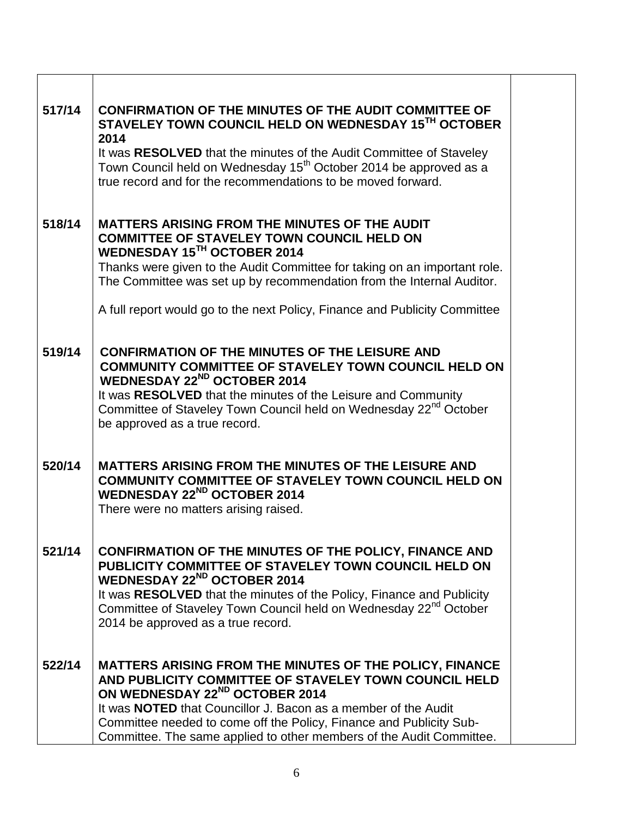| 517/14 | <b>CONFIRMATION OF THE MINUTES OF THE AUDIT COMMITTEE OF</b><br>STAVELEY TOWN COUNCIL HELD ON WEDNESDAY 15TH OCTOBER<br>2014                                                                                                                                                                                                                                                           |
|--------|----------------------------------------------------------------------------------------------------------------------------------------------------------------------------------------------------------------------------------------------------------------------------------------------------------------------------------------------------------------------------------------|
|        | It was RESOLVED that the minutes of the Audit Committee of Staveley<br>Town Council held on Wednesday 15 <sup>th</sup> October 2014 be approved as a<br>true record and for the recommendations to be moved forward.                                                                                                                                                                   |
| 518/14 | <b>MATTERS ARISING FROM THE MINUTES OF THE AUDIT</b><br><b>COMMITTEE OF STAVELEY TOWN COUNCIL HELD ON</b><br>WEDNESDAY 15TH OCTOBER 2014<br>Thanks were given to the Audit Committee for taking on an important role.<br>The Committee was set up by recommendation from the Internal Auditor.                                                                                         |
|        | A full report would go to the next Policy, Finance and Publicity Committee                                                                                                                                                                                                                                                                                                             |
| 519/14 | <b>CONFIRMATION OF THE MINUTES OF THE LEISURE AND</b><br><b>COMMUNITY COMMITTEE OF STAVELEY TOWN COUNCIL HELD ON</b><br><b>WEDNESDAY 22<sup>ND</sup> OCTOBER 2014</b><br>It was RESOLVED that the minutes of the Leisure and Community<br>Committee of Staveley Town Council held on Wednesday 22 <sup>nd</sup> October<br>be approved as a true record.                               |
| 520/14 | <b>MATTERS ARISING FROM THE MINUTES OF THE LEISURE AND</b><br><b>COMMUNITY COMMITTEE OF STAVELEY TOWN COUNCIL HELD ON</b><br><b>WEDNESDAY 22<sup>ND</sup> OCTOBER 2014</b><br>There were no matters arising raised.                                                                                                                                                                    |
| 521/14 | <b>CONFIRMATION OF THE MINUTES OF THE POLICY, FINANCE AND</b><br>PUBLICITY COMMITTEE OF STAVELEY TOWN COUNCIL HELD ON<br><b>WEDNESDAY 22<sup>ND</sup> OCTOBER 2014</b><br>It was RESOLVED that the minutes of the Policy, Finance and Publicity<br>Committee of Staveley Town Council held on Wednesday 22 <sup>nd</sup> October<br>2014 be approved as a true record.                 |
| 522/14 | MATTERS ARISING FROM THE MINUTES OF THE POLICY, FINANCE<br>AND PUBLICITY COMMITTEE OF STAVELEY TOWN COUNCIL HELD<br>ON WEDNESDAY 22 <sup>ND</sup> OCTOBER 2014<br>It was <b>NOTED</b> that Councillor J. Bacon as a member of the Audit<br>Committee needed to come off the Policy, Finance and Publicity Sub-<br>Committee. The same applied to other members of the Audit Committee. |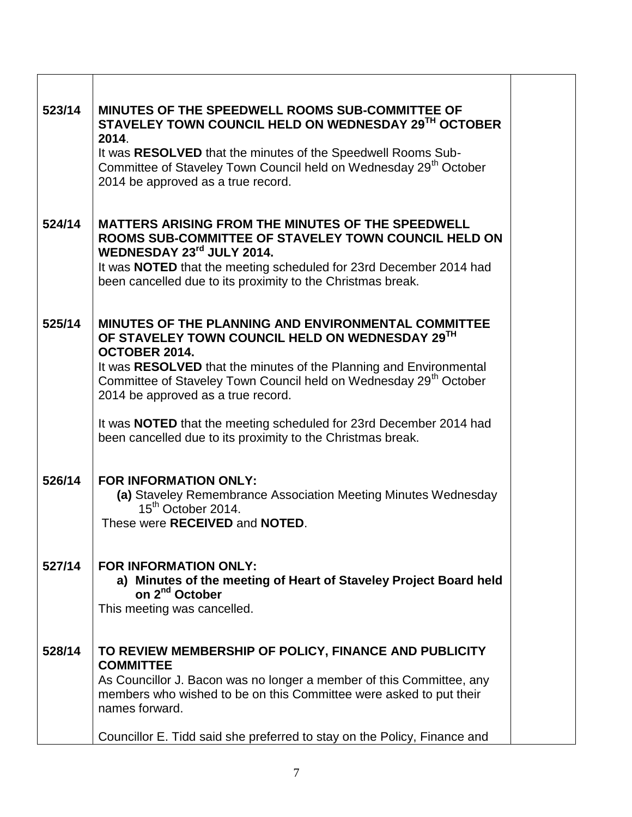| 523/14 | MINUTES OF THE SPEEDWELL ROOMS SUB-COMMITTEE OF<br>STAVELEY TOWN COUNCIL HELD ON WEDNESDAY 29TH OCTOBER<br>2014.                                                                          |
|--------|-------------------------------------------------------------------------------------------------------------------------------------------------------------------------------------------|
|        | It was RESOLVED that the minutes of the Speedwell Rooms Sub-<br>Committee of Staveley Town Council held on Wednesday 29 <sup>th</sup> October<br>2014 be approved as a true record.       |
| 524/14 | <b>MATTERS ARISING FROM THE MINUTES OF THE SPEEDWELL</b><br>ROOMS SUB-COMMITTEE OF STAVELEY TOWN COUNCIL HELD ON<br>WEDNESDAY 23rd JULY 2014.                                             |
|        | It was <b>NOTED</b> that the meeting scheduled for 23rd December 2014 had<br>been cancelled due to its proximity to the Christmas break.                                                  |
| 525/14 | MINUTES OF THE PLANNING AND ENVIRONMENTAL COMMITTEE<br>OF STAVELEY TOWN COUNCIL HELD ON WEDNESDAY 29TH<br>OCTOBER 2014.                                                                   |
|        | It was RESOLVED that the minutes of the Planning and Environmental<br>Committee of Staveley Town Council held on Wednesday 29 <sup>th</sup> October<br>2014 be approved as a true record. |
|        | It was <b>NOTED</b> that the meeting scheduled for 23rd December 2014 had<br>been cancelled due to its proximity to the Christmas break.                                                  |
| 526/14 | <b>FOR INFORMATION ONLY:</b><br>(a) Staveley Remembrance Association Meeting Minutes Wednesday<br>15 <sup>th</sup> October 2014.<br>These were RECEIVED and NOTED.                        |
| 527/14 | <b>FOR INFORMATION ONLY:</b><br>a) Minutes of the meeting of Heart of Staveley Project Board held<br>on 2 <sup>nd</sup> October<br>This meeting was cancelled.                            |
| 528/14 | TO REVIEW MEMBERSHIP OF POLICY, FINANCE AND PUBLICITY<br><b>COMMITTEE</b>                                                                                                                 |
|        | As Councillor J. Bacon was no longer a member of this Committee, any<br>members who wished to be on this Committee were asked to put their<br>names forward.                              |
|        | Councillor E. Tidd said she preferred to stay on the Policy, Finance and                                                                                                                  |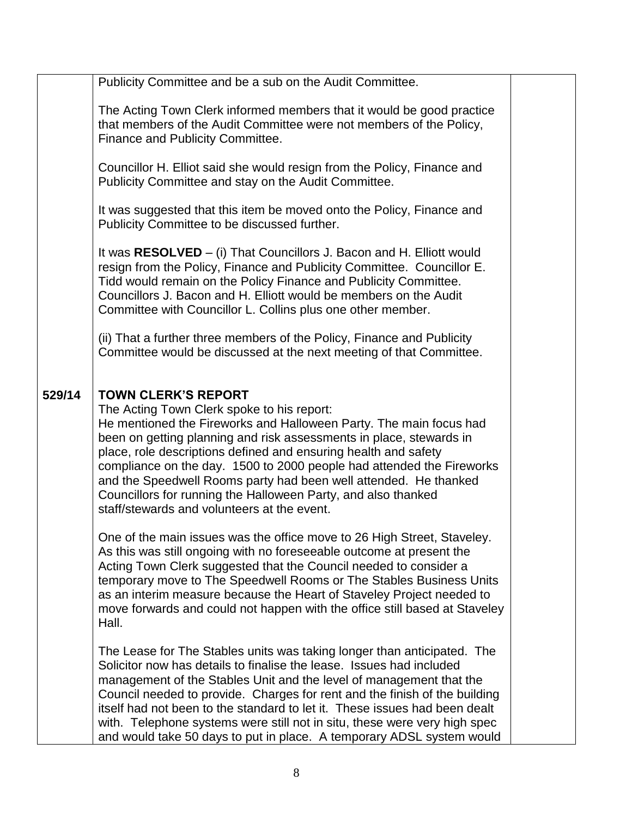|        | Publicity Committee and be a sub on the Audit Committee.                                                                                                                                                                                                                                                                                                                                                                                                                                                                                              |  |
|--------|-------------------------------------------------------------------------------------------------------------------------------------------------------------------------------------------------------------------------------------------------------------------------------------------------------------------------------------------------------------------------------------------------------------------------------------------------------------------------------------------------------------------------------------------------------|--|
|        | The Acting Town Clerk informed members that it would be good practice<br>that members of the Audit Committee were not members of the Policy,<br>Finance and Publicity Committee.                                                                                                                                                                                                                                                                                                                                                                      |  |
|        | Councillor H. Elliot said she would resign from the Policy, Finance and<br>Publicity Committee and stay on the Audit Committee.                                                                                                                                                                                                                                                                                                                                                                                                                       |  |
|        | It was suggested that this item be moved onto the Policy, Finance and<br>Publicity Committee to be discussed further.                                                                                                                                                                                                                                                                                                                                                                                                                                 |  |
|        | It was RESOLVED – (i) That Councillors J. Bacon and H. Elliott would<br>resign from the Policy, Finance and Publicity Committee. Councillor E.<br>Tidd would remain on the Policy Finance and Publicity Committee.<br>Councillors J. Bacon and H. Elliott would be members on the Audit<br>Committee with Councillor L. Collins plus one other member.                                                                                                                                                                                                |  |
|        | (ii) That a further three members of the Policy, Finance and Publicity<br>Committee would be discussed at the next meeting of that Committee.                                                                                                                                                                                                                                                                                                                                                                                                         |  |
| 529/14 | <b>TOWN CLERK'S REPORT</b><br>The Acting Town Clerk spoke to his report:<br>He mentioned the Fireworks and Halloween Party. The main focus had<br>been on getting planning and risk assessments in place, stewards in<br>place, role descriptions defined and ensuring health and safety<br>compliance on the day. 1500 to 2000 people had attended the Fireworks<br>and the Speedwell Rooms party had been well attended. He thanked<br>Councillors for running the Halloween Party, and also thanked<br>staff/stewards and volunteers at the event. |  |
|        | One of the main issues was the office move to 26 High Street, Staveley.<br>As this was still ongoing with no foreseeable outcome at present the<br>Acting Town Clerk suggested that the Council needed to consider a<br>temporary move to The Speedwell Rooms or The Stables Business Units<br>as an interim measure because the Heart of Staveley Project needed to<br>move forwards and could not happen with the office still based at Staveley<br>Hall.                                                                                           |  |
|        | The Lease for The Stables units was taking longer than anticipated. The<br>Solicitor now has details to finalise the lease. Issues had included<br>management of the Stables Unit and the level of management that the<br>Council needed to provide. Charges for rent and the finish of the building<br>itself had not been to the standard to let it. These issues had been dealt<br>with. Telephone systems were still not in situ, these were very high spec<br>and would take 50 days to put in place. A temporary ADSL system would              |  |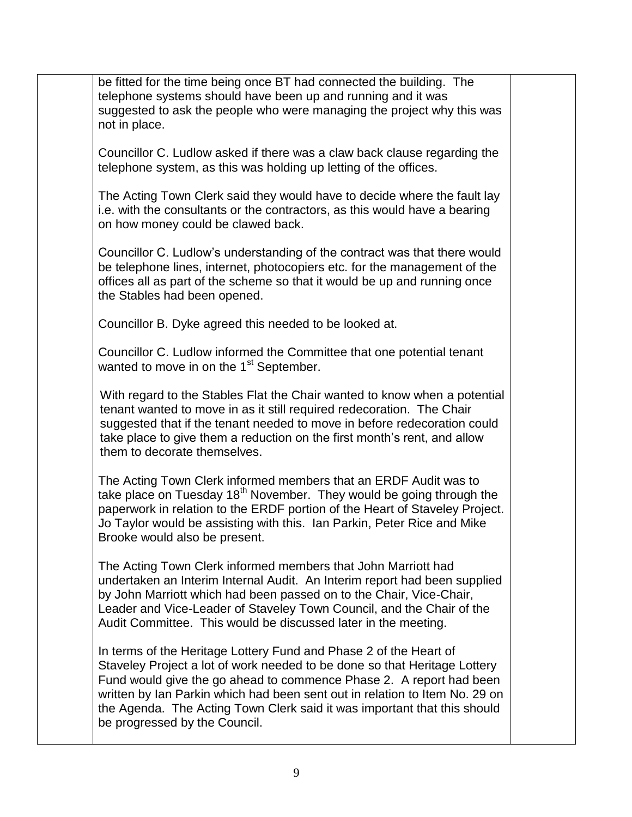be fitted for the time being once BT had connected the building. The telephone systems should have been up and running and it was suggested to ask the people who were managing the project why this was not in place. Councillor C. Ludlow asked if there was a claw back clause regarding the telephone system, as this was holding up letting of the offices. The Acting Town Clerk said they would have to decide where the fault lay i.e. with the consultants or the contractors, as this would have a bearing on how money could be clawed back. Councillor C. Ludlow's understanding of the contract was that there would be telephone lines, internet, photocopiers etc. for the management of the offices all as part of the scheme so that it would be up and running once the Stables had been opened. Councillor B. Dyke agreed this needed to be looked at. Councillor C. Ludlow informed the Committee that one potential tenant wanted to move in on the 1<sup>st</sup> September. With regard to the Stables Flat the Chair wanted to know when a potential tenant wanted to move in as it still required redecoration. The Chair suggested that if the tenant needed to move in before redecoration could take place to give them a reduction on the first month's rent, and allow them to decorate themselves. The Acting Town Clerk informed members that an ERDF Audit was to take place on Tuesday  $18<sup>th</sup>$  November. They would be going through the paperwork in relation to the ERDF portion of the Heart of Staveley Project. Jo Taylor would be assisting with this. Ian Parkin, Peter Rice and Mike Brooke would also be present. The Acting Town Clerk informed members that John Marriott had undertaken an Interim Internal Audit. An Interim report had been supplied by John Marriott which had been passed on to the Chair, Vice-Chair, Leader and Vice-Leader of Staveley Town Council, and the Chair of the Audit Committee. This would be discussed later in the meeting. In terms of the Heritage Lottery Fund and Phase 2 of the Heart of Staveley Project a lot of work needed to be done so that Heritage Lottery Fund would give the go ahead to commence Phase 2. A report had been written by Ian Parkin which had been sent out in relation to Item No. 29 on the Agenda. The Acting Town Clerk said it was important that this should be progressed by the Council.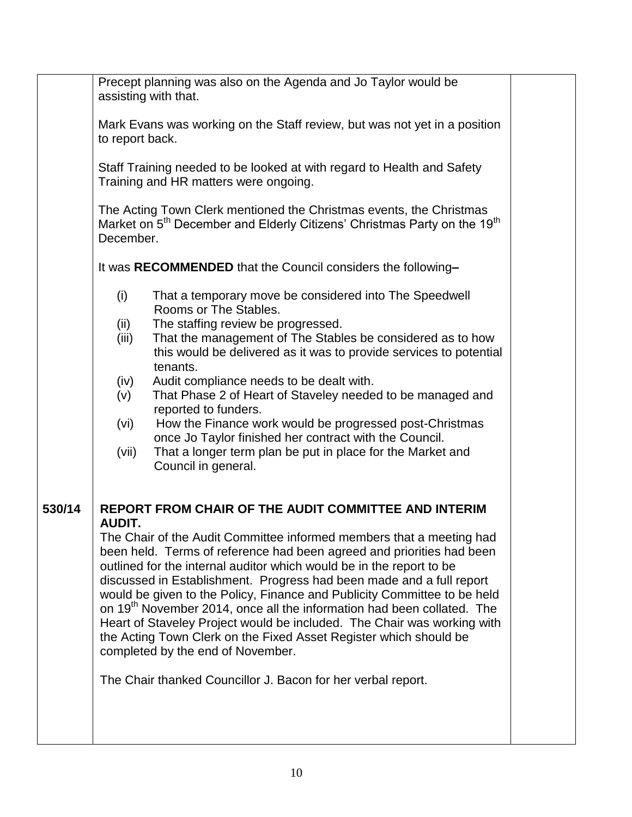|        | Precept planning was also on the Agenda and Jo Taylor would be<br>assisting with that.                                                                                                                                                                                                                                                                                    |  |
|--------|---------------------------------------------------------------------------------------------------------------------------------------------------------------------------------------------------------------------------------------------------------------------------------------------------------------------------------------------------------------------------|--|
|        | Mark Evans was working on the Staff review, but was not yet in a position<br>to report back.                                                                                                                                                                                                                                                                              |  |
|        | Staff Training needed to be looked at with regard to Health and Safety<br>Training and HR matters were ongoing.                                                                                                                                                                                                                                                           |  |
|        | The Acting Town Clerk mentioned the Christmas events, the Christmas<br>Market on 5 <sup>th</sup> December and Elderly Citizens' Christmas Party on the 19 <sup>th</sup><br>December.                                                                                                                                                                                      |  |
|        | It was RECOMMENDED that the Council considers the following-                                                                                                                                                                                                                                                                                                              |  |
|        | (i)<br>That a temporary move be considered into The Speedwell<br>Rooms or The Stables.                                                                                                                                                                                                                                                                                    |  |
|        | (ii)<br>The staffing review be progressed.                                                                                                                                                                                                                                                                                                                                |  |
|        | That the management of The Stables be considered as to how<br>(iii)<br>this would be delivered as it was to provide services to potential<br>tenants.                                                                                                                                                                                                                     |  |
|        | (iv)<br>Audit compliance needs to be dealt with.                                                                                                                                                                                                                                                                                                                          |  |
|        | That Phase 2 of Heart of Staveley needed to be managed and<br>(v)<br>reported to funders.                                                                                                                                                                                                                                                                                 |  |
|        | How the Finance work would be progressed post-Christmas<br>(vi)<br>once Jo Taylor finished her contract with the Council.                                                                                                                                                                                                                                                 |  |
|        | That a longer term plan be put in place for the Market and<br>(vii)<br>Council in general.                                                                                                                                                                                                                                                                                |  |
| 530/14 | <b>REPORT FROM CHAIR OF THE AUDIT COMMITTEE AND INTERIM</b><br><b>AUDIT.</b>                                                                                                                                                                                                                                                                                              |  |
|        | The Chair of the Audit Committee informed members that a meeting had<br>been held. Terms of reference had been agreed and priorities had been<br>outlined for the internal auditor which would be in the report to be<br>discussed in Establishment. Progress had been made and a full report<br>would be given to the Policy, Finance and Publicity Committee to be held |  |
|        | on 19 <sup>th</sup> November 2014, once all the information had been collated. The<br>Heart of Staveley Project would be included. The Chair was working with<br>the Acting Town Clerk on the Fixed Asset Register which should be<br>completed by the end of November.                                                                                                   |  |
|        | The Chair thanked Councillor J. Bacon for her verbal report.                                                                                                                                                                                                                                                                                                              |  |
|        |                                                                                                                                                                                                                                                                                                                                                                           |  |
|        |                                                                                                                                                                                                                                                                                                                                                                           |  |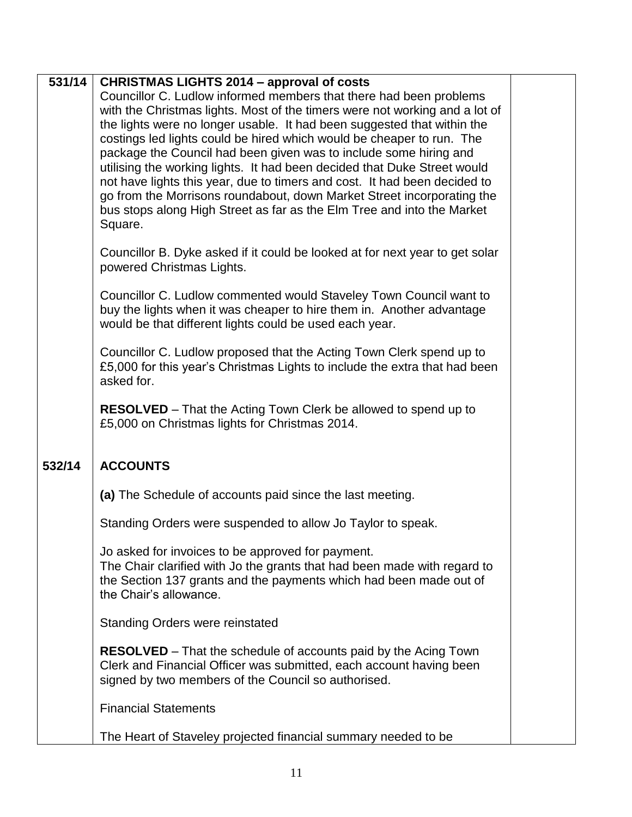| 531/14 | <b>CHRISTMAS LIGHTS 2014 – approval of costs</b>                             |  |
|--------|------------------------------------------------------------------------------|--|
|        | Councillor C. Ludlow informed members that there had been problems           |  |
|        | with the Christmas lights. Most of the timers were not working and a lot of  |  |
|        | the lights were no longer usable. It had been suggested that within the      |  |
|        | costings led lights could be hired which would be cheaper to run. The        |  |
|        | package the Council had been given was to include some hiring and            |  |
|        | utilising the working lights. It had been decided that Duke Street would     |  |
|        | not have lights this year, due to timers and cost. It had been decided to    |  |
|        | go from the Morrisons roundabout, down Market Street incorporating the       |  |
|        | bus stops along High Street as far as the Elm Tree and into the Market       |  |
|        | Square.                                                                      |  |
|        |                                                                              |  |
|        | Councillor B. Dyke asked if it could be looked at for next year to get solar |  |
|        | powered Christmas Lights.                                                    |  |
|        |                                                                              |  |
|        | Councillor C. Ludlow commented would Staveley Town Council want to           |  |
|        | buy the lights when it was cheaper to hire them in. Another advantage        |  |
|        | would be that different lights could be used each year.                      |  |
|        |                                                                              |  |
|        | Councillor C. Ludlow proposed that the Acting Town Clerk spend up to         |  |
|        | £5,000 for this year's Christmas Lights to include the extra that had been   |  |
|        | asked for.                                                                   |  |
|        |                                                                              |  |
|        | <b>RESOLVED</b> – That the Acting Town Clerk be allowed to spend up to       |  |
|        | £5,000 on Christmas lights for Christmas 2014.                               |  |
|        |                                                                              |  |
|        |                                                                              |  |
| 532/14 | <b>ACCOUNTS</b>                                                              |  |
|        |                                                                              |  |
|        | (a) The Schedule of accounts paid since the last meeting.                    |  |
|        |                                                                              |  |
|        | Standing Orders were suspended to allow Jo Taylor to speak.                  |  |
|        |                                                                              |  |
|        | Jo asked for invoices to be approved for payment.                            |  |
|        | The Chair clarified with Jo the grants that had been made with regard to     |  |
|        | the Section 137 grants and the payments which had been made out of           |  |
|        | the Chair's allowance.                                                       |  |
|        |                                                                              |  |
|        | <b>Standing Orders were reinstated</b>                                       |  |
|        |                                                                              |  |
|        | <b>RESOLVED</b> – That the schedule of accounts paid by the Acing Town       |  |
|        | Clerk and Financial Officer was submitted, each account having been          |  |
|        | signed by two members of the Council so authorised.                          |  |
|        |                                                                              |  |
|        | <b>Financial Statements</b>                                                  |  |
|        | The Heart of Staveley projected financial summary needed to be               |  |
|        |                                                                              |  |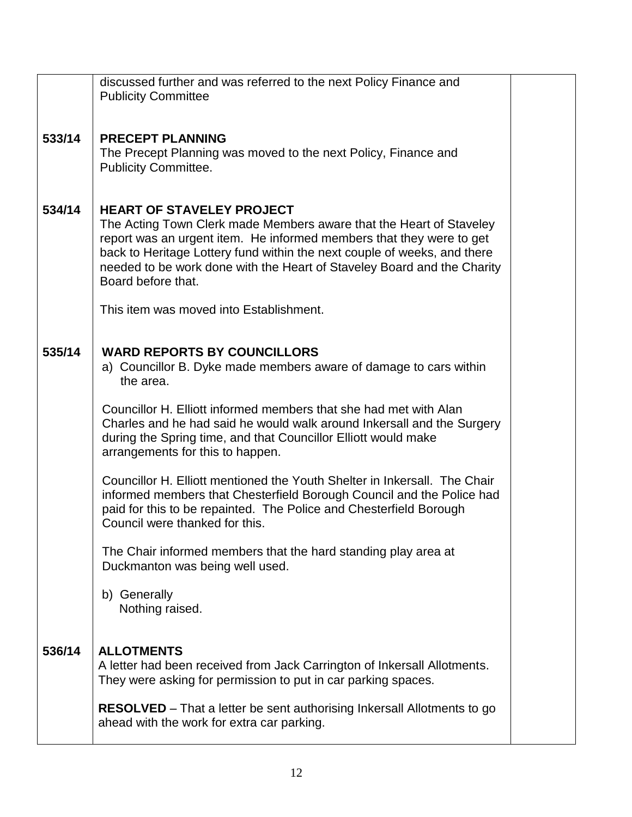|        | discussed further and was referred to the next Policy Finance and<br><b>Publicity Committee</b>                                                                                                                                                                                                                                                              |  |
|--------|--------------------------------------------------------------------------------------------------------------------------------------------------------------------------------------------------------------------------------------------------------------------------------------------------------------------------------------------------------------|--|
| 533/14 | <b>PRECEPT PLANNING</b><br>The Precept Planning was moved to the next Policy, Finance and<br><b>Publicity Committee.</b>                                                                                                                                                                                                                                     |  |
| 534/14 | <b>HEART OF STAVELEY PROJECT</b><br>The Acting Town Clerk made Members aware that the Heart of Staveley<br>report was an urgent item. He informed members that they were to get<br>back to Heritage Lottery fund within the next couple of weeks, and there<br>needed to be work done with the Heart of Staveley Board and the Charity<br>Board before that. |  |
|        | This item was moved into Establishment.                                                                                                                                                                                                                                                                                                                      |  |
| 535/14 | <b>WARD REPORTS BY COUNCILLORS</b><br>a) Councillor B. Dyke made members aware of damage to cars within<br>the area.                                                                                                                                                                                                                                         |  |
|        | Councillor H. Elliott informed members that she had met with Alan<br>Charles and he had said he would walk around Inkersall and the Surgery<br>during the Spring time, and that Councillor Elliott would make<br>arrangements for this to happen.                                                                                                            |  |
|        | Councillor H. Elliott mentioned the Youth Shelter in Inkersall. The Chair<br>informed members that Chesterfield Borough Council and the Police had<br>paid for this to be repainted. The Police and Chesterfield Borough<br>Council were thanked for this.                                                                                                   |  |
|        | The Chair informed members that the hard standing play area at<br>Duckmanton was being well used.                                                                                                                                                                                                                                                            |  |
|        | b) Generally<br>Nothing raised.                                                                                                                                                                                                                                                                                                                              |  |
| 536/14 | <b>ALLOTMENTS</b><br>A letter had been received from Jack Carrington of Inkersall Allotments.<br>They were asking for permission to put in car parking spaces.                                                                                                                                                                                               |  |
|        | <b>RESOLVED</b> – That a letter be sent authorising Inkersall Allotments to go<br>ahead with the work for extra car parking.                                                                                                                                                                                                                                 |  |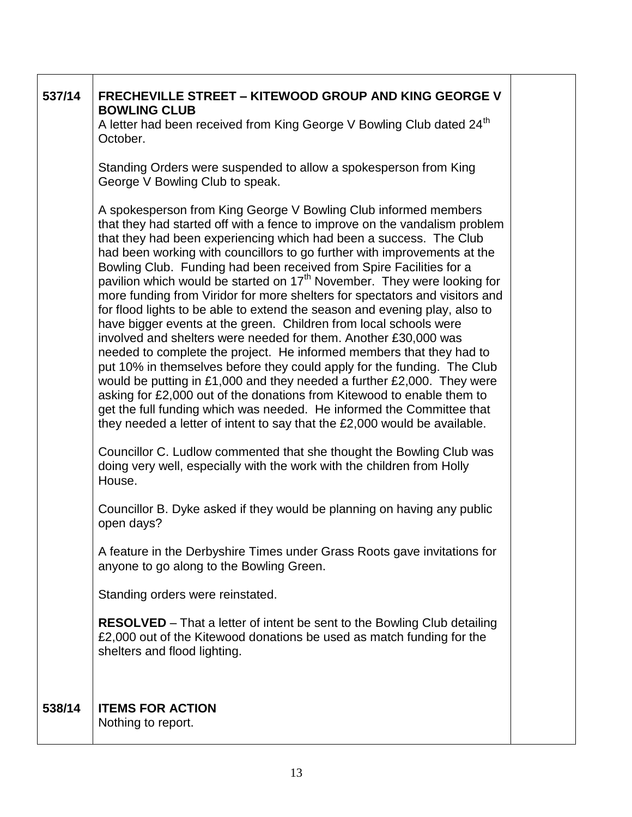| 537/14 | <b>FRECHEVILLE STREET - KITEWOOD GROUP AND KING GEORGE V</b><br><b>BOWLING CLUB</b><br>A letter had been received from King George V Bowling Club dated 24 <sup>th</sup><br>October.<br>Standing Orders were suspended to allow a spokesperson from King<br>George V Bowling Club to speak.                                                                                                                                                                                                                                                                                                                                                                                                                                                                                                                                                                                                                                                                                                                                                                                                                                                                                                                                                                                                                                                                                       |  |
|--------|-----------------------------------------------------------------------------------------------------------------------------------------------------------------------------------------------------------------------------------------------------------------------------------------------------------------------------------------------------------------------------------------------------------------------------------------------------------------------------------------------------------------------------------------------------------------------------------------------------------------------------------------------------------------------------------------------------------------------------------------------------------------------------------------------------------------------------------------------------------------------------------------------------------------------------------------------------------------------------------------------------------------------------------------------------------------------------------------------------------------------------------------------------------------------------------------------------------------------------------------------------------------------------------------------------------------------------------------------------------------------------------|--|
|        | A spokesperson from King George V Bowling Club informed members<br>that they had started off with a fence to improve on the vandalism problem<br>that they had been experiencing which had been a success. The Club<br>had been working with councillors to go further with improvements at the<br>Bowling Club. Funding had been received from Spire Facilities for a<br>pavilion which would be started on 17 <sup>th</sup> November. They were looking for<br>more funding from Viridor for more shelters for spectators and visitors and<br>for flood lights to be able to extend the season and evening play, also to<br>have bigger events at the green. Children from local schools were<br>involved and shelters were needed for them. Another £30,000 was<br>needed to complete the project. He informed members that they had to<br>put 10% in themselves before they could apply for the funding. The Club<br>would be putting in £1,000 and they needed a further £2,000. They were<br>asking for £2,000 out of the donations from Kitewood to enable them to<br>get the full funding which was needed. He informed the Committee that<br>they needed a letter of intent to say that the £2,000 would be available.<br>Councillor C. Ludlow commented that she thought the Bowling Club was<br>doing very well, especially with the work with the children from Holly |  |
|        | House.<br>Councillor B. Dyke asked if they would be planning on having any public<br>open days?                                                                                                                                                                                                                                                                                                                                                                                                                                                                                                                                                                                                                                                                                                                                                                                                                                                                                                                                                                                                                                                                                                                                                                                                                                                                                   |  |
|        | A feature in the Derbyshire Times under Grass Roots gave invitations for<br>anyone to go along to the Bowling Green.                                                                                                                                                                                                                                                                                                                                                                                                                                                                                                                                                                                                                                                                                                                                                                                                                                                                                                                                                                                                                                                                                                                                                                                                                                                              |  |
|        | Standing orders were reinstated.                                                                                                                                                                                                                                                                                                                                                                                                                                                                                                                                                                                                                                                                                                                                                                                                                                                                                                                                                                                                                                                                                                                                                                                                                                                                                                                                                  |  |
|        | <b>RESOLVED</b> – That a letter of intent be sent to the Bowling Club detailing<br>£2,000 out of the Kitewood donations be used as match funding for the<br>shelters and flood lighting.                                                                                                                                                                                                                                                                                                                                                                                                                                                                                                                                                                                                                                                                                                                                                                                                                                                                                                                                                                                                                                                                                                                                                                                          |  |
| 538/14 | <b>ITEMS FOR ACTION</b><br>Nothing to report.                                                                                                                                                                                                                                                                                                                                                                                                                                                                                                                                                                                                                                                                                                                                                                                                                                                                                                                                                                                                                                                                                                                                                                                                                                                                                                                                     |  |

┑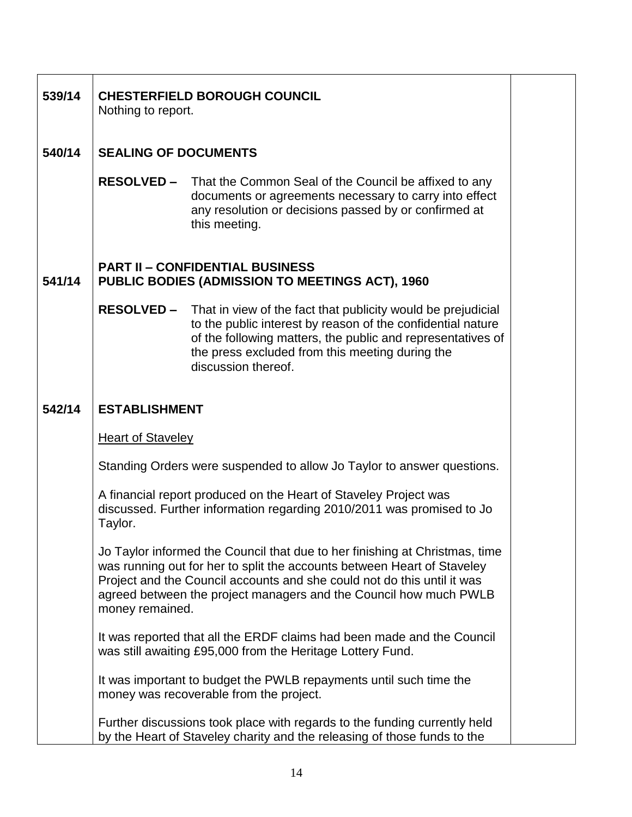| 539/14 | <b>CHESTERFIELD BOROUGH COUNCIL</b><br>Nothing to report.                                                                                                                                                                                                                                                                 |  |
|--------|---------------------------------------------------------------------------------------------------------------------------------------------------------------------------------------------------------------------------------------------------------------------------------------------------------------------------|--|
| 540/14 | <b>SEALING OF DOCUMENTS</b>                                                                                                                                                                                                                                                                                               |  |
|        | <b>RESOLVED –</b><br>That the Common Seal of the Council be affixed to any<br>documents or agreements necessary to carry into effect<br>any resolution or decisions passed by or confirmed at<br>this meeting.                                                                                                            |  |
| 541/14 | <b>PART II - CONFIDENTIAL BUSINESS</b><br><b>PUBLIC BODIES (ADMISSION TO MEETINGS ACT), 1960</b>                                                                                                                                                                                                                          |  |
|        | <b>RESOLVED –</b><br>That in view of the fact that publicity would be prejudicial<br>to the public interest by reason of the confidential nature<br>of the following matters, the public and representatives of<br>the press excluded from this meeting during the<br>discussion thereof.                                 |  |
| 542/14 | <b>ESTABLISHMENT</b>                                                                                                                                                                                                                                                                                                      |  |
|        | <b>Heart of Staveley</b>                                                                                                                                                                                                                                                                                                  |  |
|        | Standing Orders were suspended to allow Jo Taylor to answer questions.                                                                                                                                                                                                                                                    |  |
|        | A financial report produced on the Heart of Staveley Project was<br>discussed. Further information regarding 2010/2011 was promised to Jo<br>Taylor.                                                                                                                                                                      |  |
|        | Jo Taylor informed the Council that due to her finishing at Christmas, time<br>was running out for her to split the accounts between Heart of Staveley<br>Project and the Council accounts and she could not do this until it was<br>agreed between the project managers and the Council how much PWLB<br>money remained. |  |
|        | It was reported that all the ERDF claims had been made and the Council<br>was still awaiting £95,000 from the Heritage Lottery Fund.                                                                                                                                                                                      |  |
|        | It was important to budget the PWLB repayments until such time the<br>money was recoverable from the project.                                                                                                                                                                                                             |  |
|        | Further discussions took place with regards to the funding currently held<br>by the Heart of Staveley charity and the releasing of those funds to the                                                                                                                                                                     |  |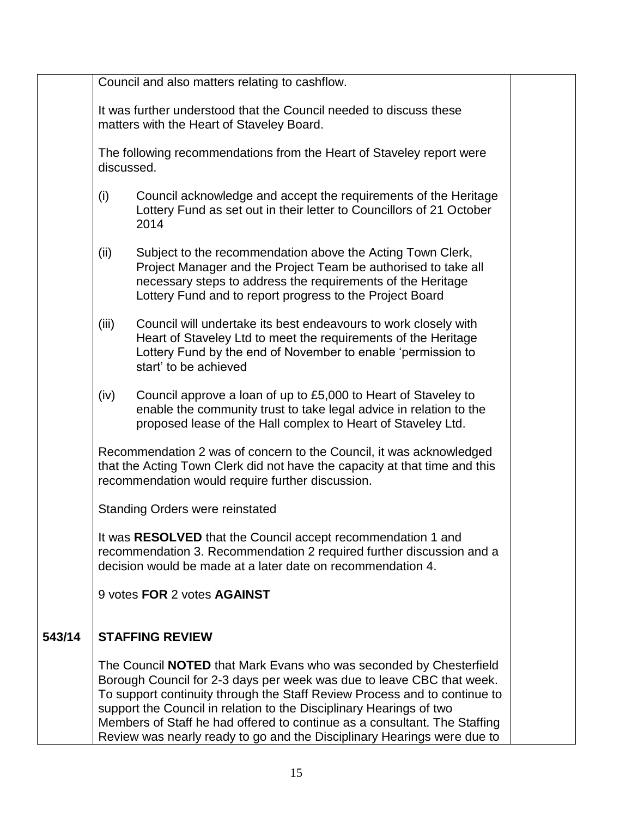|        | Council and also matters relating to cashflow.                                                                                                                                                      |                                                                                                                                                                                                                                                                                                                                                                                                                                                                |  |
|--------|-----------------------------------------------------------------------------------------------------------------------------------------------------------------------------------------------------|----------------------------------------------------------------------------------------------------------------------------------------------------------------------------------------------------------------------------------------------------------------------------------------------------------------------------------------------------------------------------------------------------------------------------------------------------------------|--|
|        | It was further understood that the Council needed to discuss these<br>matters with the Heart of Staveley Board.                                                                                     |                                                                                                                                                                                                                                                                                                                                                                                                                                                                |  |
|        | The following recommendations from the Heart of Staveley report were<br>discussed.                                                                                                                  |                                                                                                                                                                                                                                                                                                                                                                                                                                                                |  |
|        | (i)                                                                                                                                                                                                 | Council acknowledge and accept the requirements of the Heritage<br>Lottery Fund as set out in their letter to Councillors of 21 October<br>2014                                                                                                                                                                                                                                                                                                                |  |
|        | (ii)                                                                                                                                                                                                | Subject to the recommendation above the Acting Town Clerk,<br>Project Manager and the Project Team be authorised to take all<br>necessary steps to address the requirements of the Heritage<br>Lottery Fund and to report progress to the Project Board                                                                                                                                                                                                        |  |
|        | (iii)                                                                                                                                                                                               | Council will undertake its best endeavours to work closely with<br>Heart of Staveley Ltd to meet the requirements of the Heritage<br>Lottery Fund by the end of November to enable 'permission to<br>start' to be achieved                                                                                                                                                                                                                                     |  |
|        | (iv)                                                                                                                                                                                                | Council approve a loan of up to £5,000 to Heart of Staveley to<br>enable the community trust to take legal advice in relation to the<br>proposed lease of the Hall complex to Heart of Staveley Ltd.                                                                                                                                                                                                                                                           |  |
|        |                                                                                                                                                                                                     | Recommendation 2 was of concern to the Council, it was acknowledged<br>that the Acting Town Clerk did not have the capacity at that time and this<br>recommendation would require further discussion.                                                                                                                                                                                                                                                          |  |
|        | <b>Standing Orders were reinstated</b>                                                                                                                                                              |                                                                                                                                                                                                                                                                                                                                                                                                                                                                |  |
|        | It was RESOLVED that the Council accept recommendation 1 and<br>recommendation 3. Recommendation 2 required further discussion and a<br>decision would be made at a later date on recommendation 4. |                                                                                                                                                                                                                                                                                                                                                                                                                                                                |  |
|        |                                                                                                                                                                                                     | 9 votes FOR 2 votes AGAINST                                                                                                                                                                                                                                                                                                                                                                                                                                    |  |
| 543/14 |                                                                                                                                                                                                     | <b>STAFFING REVIEW</b>                                                                                                                                                                                                                                                                                                                                                                                                                                         |  |
|        |                                                                                                                                                                                                     | The Council <b>NOTED</b> that Mark Evans who was seconded by Chesterfield<br>Borough Council for 2-3 days per week was due to leave CBC that week.<br>To support continuity through the Staff Review Process and to continue to<br>support the Council in relation to the Disciplinary Hearings of two<br>Members of Staff he had offered to continue as a consultant. The Staffing<br>Review was nearly ready to go and the Disciplinary Hearings were due to |  |